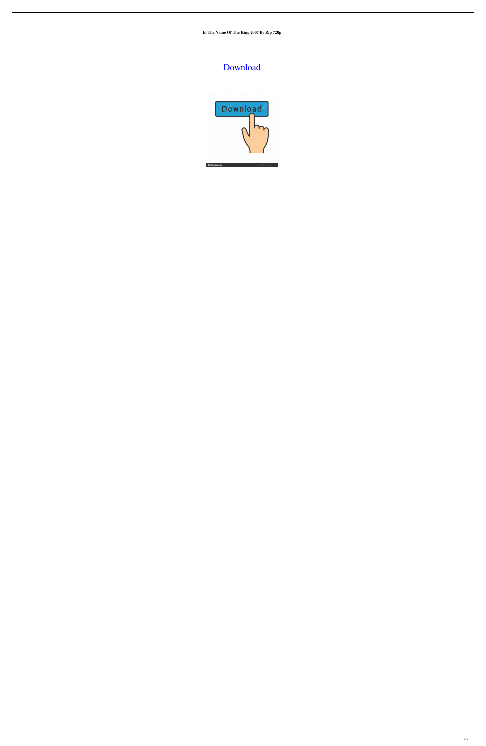**In The Name Of The King 2007 Br Rip 720p**

## [Download](http://evacdir.com/videoselect&cissp/hateth/?barbarian=ZG93bmxvYWR8Ym8xTW1wcmRIeDhNVFkxTWpjME1EZzJObng4TWpVM05IeDhLRTBwSUhKbFlXUXRZbXh2WnlCYlJtRnpkQ0JIUlU1ZA&aW4gdGhlIG5hbWUgb2YgdGhlIGtpbmcgMjAwNyBiciByaXAgNzIwcAaW4=maddox)